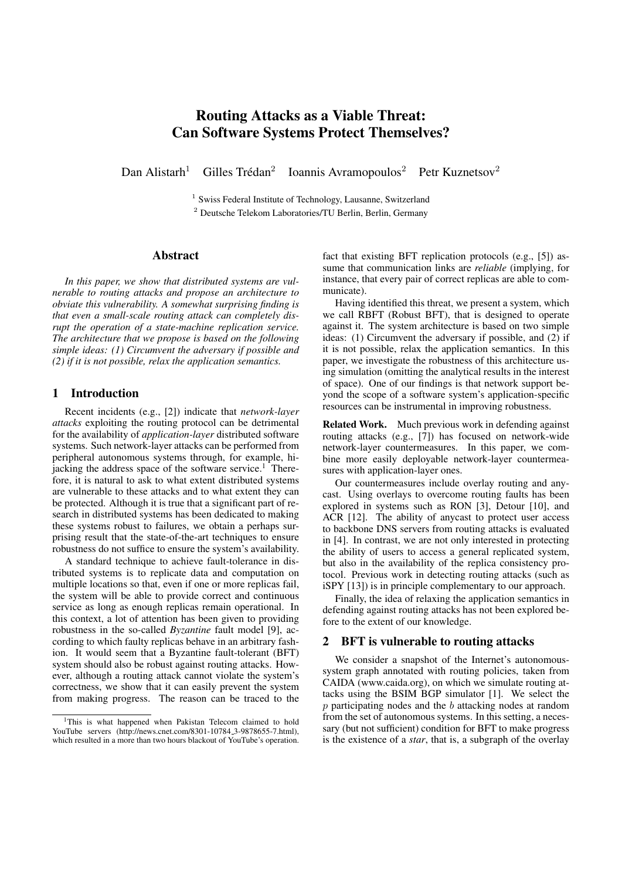# Routing Attacks as a Viable Threat: Can Software Systems Protect Themselves?

Dan Alistarh<sup>1</sup> Gilles Trédan<sup>2</sup> Ioannis Avramopoulos<sup>2</sup> Petr Kuznetsov<sup>2</sup>

<sup>1</sup> Swiss Federal Institute of Technology, Lausanne, Switzerland <sup>2</sup> Deutsche Telekom Laboratories/TU Berlin, Berlin, Germany

#### Abstract

*In this paper, we show that distributed systems are vulnerable to routing attacks and propose an architecture to obviate this vulnerability. A somewhat surprising finding is that even a small-scale routing attack can completely disrupt the operation of a state-machine replication service. The architecture that we propose is based on the following simple ideas: (1) Circumvent the adversary if possible and (2) if it is not possible, relax the application semantics.*

# 1 Introduction

Recent incidents (e.g., [2]) indicate that *network-layer attacks* exploiting the routing protocol can be detrimental for the availability of *application-layer* distributed software systems. Such network-layer attacks can be performed from peripheral autonomous systems through, for example, hijacking the address space of the software service.<sup>1</sup> Therefore, it is natural to ask to what extent distributed systems are vulnerable to these attacks and to what extent they can be protected. Although it is true that a significant part of research in distributed systems has been dedicated to making these systems robust to failures, we obtain a perhaps surprising result that the state-of-the-art techniques to ensure robustness do not suffice to ensure the system's availability.

A standard technique to achieve fault-tolerance in distributed systems is to replicate data and computation on multiple locations so that, even if one or more replicas fail, the system will be able to provide correct and continuous service as long as enough replicas remain operational. In this context, a lot of attention has been given to providing robustness in the so-called *Byzantine* fault model [9], according to which faulty replicas behave in an arbitrary fashion. It would seem that a Byzantine fault-tolerant (BFT) system should also be robust against routing attacks. However, although a routing attack cannot violate the system's correctness, we show that it can easily prevent the system from making progress. The reason can be traced to the fact that existing BFT replication protocols (e.g., [5]) assume that communication links are *reliable* (implying, for instance, that every pair of correct replicas are able to communicate).

Having identified this threat, we present a system, which we call RBFT (Robust BFT), that is designed to operate against it. The system architecture is based on two simple ideas: (1) Circumvent the adversary if possible, and (2) if it is not possible, relax the application semantics. In this paper, we investigate the robustness of this architecture using simulation (omitting the analytical results in the interest of space). One of our findings is that network support beyond the scope of a software system's application-specific resources can be instrumental in improving robustness.

Related Work. Much previous work in defending against routing attacks (e.g., [7]) has focused on network-wide network-layer countermeasures. In this paper, we combine more easily deployable network-layer countermeasures with application-layer ones.

Our countermeasures include overlay routing and anycast. Using overlays to overcome routing faults has been explored in systems such as RON [3], Detour [10], and ACR [12]. The ability of anycast to protect user access to backbone DNS servers from routing attacks is evaluated in [4]. In contrast, we are not only interested in protecting the ability of users to access a general replicated system, but also in the availability of the replica consistency protocol. Previous work in detecting routing attacks (such as iSPY [13]) is in principle complementary to our approach.

Finally, the idea of relaxing the application semantics in defending against routing attacks has not been explored before to the extent of our knowledge.

## 2 BFT is vulnerable to routing attacks

We consider a snapshot of the Internet's autonomoussystem graph annotated with routing policies, taken from CAIDA (www.caida.org), on which we simulate routing attacks using the BSIM BGP simulator [1]. We select the *p* participating nodes and the *b* attacking nodes at random from the set of autonomous systems. In this setting, a necessary (but not sufficient) condition for BFT to make progress is the existence of a *star*, that is, a subgraph of the overlay

<sup>&</sup>lt;sup>1</sup>This is what happened when Pakistan Telecom claimed to hold YouTube servers (http://news.cnet.com/8301-10784\_3-9878655-7.html). which resulted in a more than two hours blackout of YouTube's operation.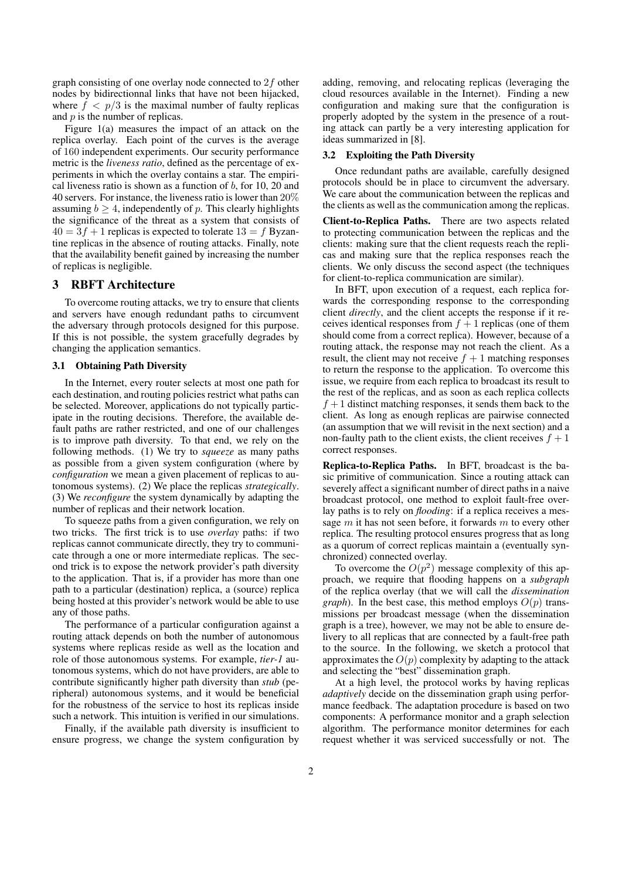graph consisting of one overlay node connected to 2*f* other nodes by bidirectionnal links that have not been hijacked, where  $f < p/3$  is the maximal number of faulty replicas and *p* is the number of replicas.

Figure 1(a) measures the impact of an attack on the replica overlay. Each point of the curves is the average of 160 independent experiments. Our security performance metric is the *liveness ratio*, defined as the percentage of experiments in which the overlay contains a star. The empirical liveness ratio is shown as a function of *b*, for 10, 20 and 40 servers. For instance, the liveness ratio is lower than 20% assuming  $b \geq 4$ , independently of *p*. This clearly highlights the significance of the threat as a system that consists of  $40 = 3f + 1$  replicas is expected to tolerate  $13 = f$  Byzantine replicas in the absence of routing attacks. Finally, note that the availability benefit gained by increasing the number of replicas is negligible.

### 3 RBFT Architecture

To overcome routing attacks, we try to ensure that clients and servers have enough redundant paths to circumvent the adversary through protocols designed for this purpose. If this is not possible, the system gracefully degrades by changing the application semantics.

#### 3.1 Obtaining Path Diversity

In the Internet, every router selects at most one path for each destination, and routing policies restrict what paths can be selected. Moreover, applications do not typically participate in the routing decisions. Therefore, the available default paths are rather restricted, and one of our challenges is to improve path diversity. To that end, we rely on the following methods. (1) We try to *squeeze* as many paths as possible from a given system configuration (where by *configuration* we mean a given placement of replicas to autonomous systems). (2) We place the replicas *strategically*. (3) We *reconfigure* the system dynamically by adapting the number of replicas and their network location.

To squeeze paths from a given configuration, we rely on two tricks. The first trick is to use *overlay* paths: if two replicas cannot communicate directly, they try to communicate through a one or more intermediate replicas. The second trick is to expose the network provider's path diversity to the application. That is, if a provider has more than one path to a particular (destination) replica, a (source) replica being hosted at this provider's network would be able to use any of those paths.

The performance of a particular configuration against a routing attack depends on both the number of autonomous systems where replicas reside as well as the location and role of those autonomous systems. For example, *tier-1* autonomous systems, which do not have providers, are able to contribute significantly higher path diversity than *stub* (peripheral) autonomous systems, and it would be beneficial for the robustness of the service to host its replicas inside such a network. This intuition is verified in our simulations.

Finally, if the available path diversity is insufficient to ensure progress, we change the system configuration by adding, removing, and relocating replicas (leveraging the cloud resources available in the Internet). Finding a new configuration and making sure that the configuration is properly adopted by the system in the presence of a routing attack can partly be a very interesting application for ideas summarized in [8].

#### 3.2 Exploiting the Path Diversity

Once redundant paths are available, carefully designed protocols should be in place to circumvent the adversary. We care about the communication between the replicas and the clients as well as the communication among the replicas.

Client-to-Replica Paths. There are two aspects related to protecting communication between the replicas and the clients: making sure that the client requests reach the replicas and making sure that the replica responses reach the clients. We only discuss the second aspect (the techniques for client-to-replica communication are similar).

In BFT, upon execution of a request, each replica forwards the corresponding response to the corresponding client *directly*, and the client accepts the response if it receives identical responses from  $f + 1$  replicas (one of them should come from a correct replica). However, because of a routing attack, the response may not reach the client. As a result, the client may not receive  $f + 1$  matching responses to return the response to the application. To overcome this issue, we require from each replica to broadcast its result to the rest of the replicas, and as soon as each replica collects  $f + 1$  distinct matching responses, it sends them back to the client. As long as enough replicas are pairwise connected (an assumption that we will revisit in the next section) and a non-faulty path to the client exists, the client receives  $f + 1$ correct responses.

Replica-to-Replica Paths. In BFT, broadcast is the basic primitive of communication. Since a routing attack can severely affect a significant number of direct paths in a naive broadcast protocol, one method to exploit fault-free overlay paths is to rely on *flooding*: if a replica receives a message *m* it has not seen before, it forwards *m* to every other replica. The resulting protocol ensures progress that as long as a quorum of correct replicas maintain a (eventually synchronized) connected overlay.

To overcome the  $O(p^2)$  message complexity of this approach, we require that flooding happens on a *subgraph* of the replica overlay (that we will call the *dissemination graph*). In the best case, this method employs  $O(p)$  transmissions per broadcast message (when the dissemination graph is a tree), however, we may not be able to ensure delivery to all replicas that are connected by a fault-free path to the source. In the following, we sketch a protocol that approximates the  $O(p)$  complexity by adapting to the attack and selecting the "best" dissemination graph.

At a high level, the protocol works by having replicas *adaptively* decide on the dissemination graph using performance feedback. The adaptation procedure is based on two components: A performance monitor and a graph selection algorithm. The performance monitor determines for each request whether it was serviced successfully or not. The